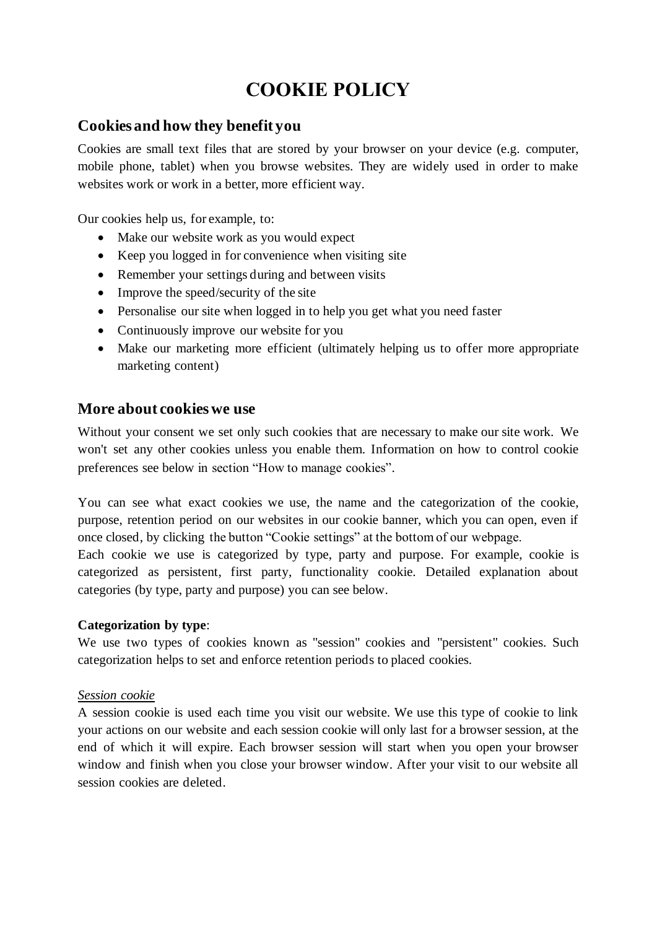# **COOKIE POLICY**

# **Cookies and how they benefit you**

Cookies are small text files that are stored by your browser on your device (e.g. computer, mobile phone, tablet) when you browse websites. They are widely used in order to make websites work or work in a better, more efficient way.

Our cookies help us, for example, to:

- Make our website work as you would expect
- Keep you logged in for convenience when visiting site
- Remember your settings during and between visits
- Improve the speed/security of the site
- Personalise our site when logged in to help you get what you need faster
- Continuously improve our website for you
- Make our marketing more efficient (ultimately helping us to offer more appropriate marketing content)

# **More about cookies we use**

Without your consent we set only such cookies that are necessary to make our site work. We won't set any other cookies unless you enable them. Information on how to control cookie preferences see below in section "How to manage cookies".

You can see what exact cookies we use, the name and the categorization of the cookie, purpose, retention period on our websites in our cookie banner, which you can open, even if once closed, by clicking the button "Cookie settings" at the bottom of our webpage.

Each cookie we use is categorized by type, party and purpose. For example, cookie is categorized as persistent, first party, functionality cookie. Detailed explanation about categories (by type, party and purpose) you can see below.

## **Categorization by type**:

We use two types of cookies known as "session" cookies and "persistent" cookies. Such categorization helps to set and enforce retention periods to placed cookies.

## *Session cookie*

A session cookie is used each time you visit our website. We use this type of cookie to link your actions on our website and each session cookie will only last for a browser session, at the end of which it will expire. Each browser session will start when you open your browser window and finish when you close your browser window. After your visit to our website all session cookies are deleted.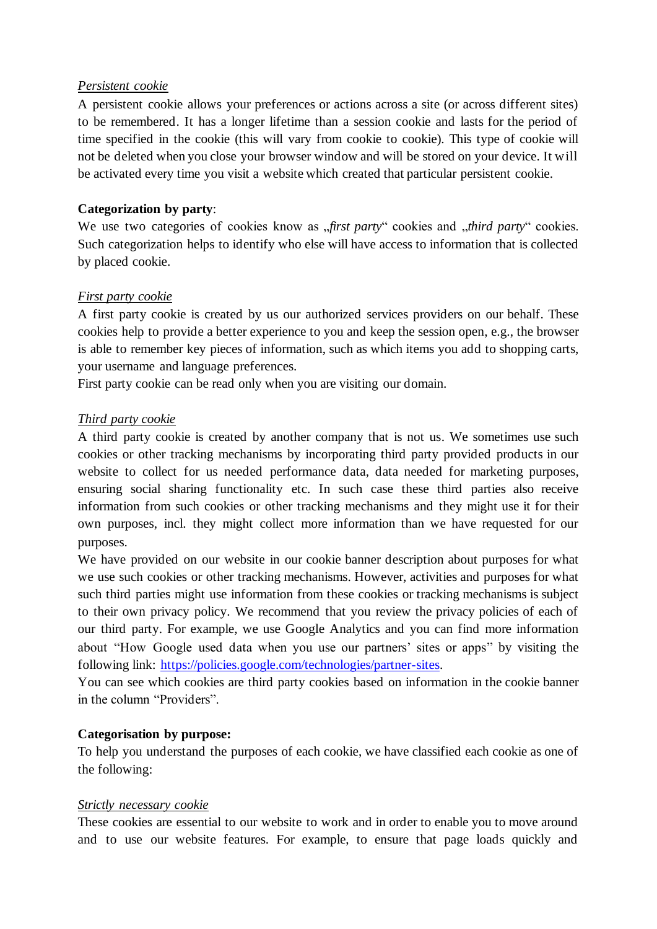## *Persistent cookie*

A persistent cookie allows your preferences or actions across a site (or across different sites) to be remembered. It has a longer lifetime than a session cookie and lasts for the period of time specified in the cookie (this will vary from cookie to cookie). This type of cookie will not be deleted when you close your browser window and will be stored on your device. It will be activated every time you visit a website which created that particular persistent cookie.

## **Categorization by party**:

We use two categories of cookies know as "*first party*" cookies and "*third party*" cookies. Such categorization helps to identify who else will have access to information that is collected by placed cookie.

## *First party cookie*

A first party cookie is created by us our authorized services providers on our behalf. These cookies help to provide a better experience to you and keep the session open, e.g., the browser is able to remember key pieces of information, such as which items you add to shopping carts, your username and language preferences.

First party cookie can be read only when you are visiting our domain.

## *Third party cookie*

A third party cookie is created by another company that is not us. We sometimes use such cookies or other tracking mechanisms by incorporating third party provided products in our website to collect for us needed performance data, data needed for marketing purposes, ensuring social sharing functionality etc. In such case these third parties also receive information from such cookies or other tracking mechanisms and they might use it for their own purposes, incl. they might collect more information than we have requested for our purposes.

We have provided on our website in our cookie banner description about purposes for what we use such cookies or other tracking mechanisms. However, activities and purposes for what such third parties might use information from these cookies or tracking mechanisms is subject to their own privacy policy. We recommend that you review the privacy policies of each of our third party. For example, we use Google Analytics and you can find more information about "How Google used data when you use our partners' sites or apps" by visiting the following link: [https://policies.google.com/technologies/partner-sites.](https://policies.google.com/technologies/partner-sites)

You can see which cookies are third party cookies based on information in the cookie banner in the column "Providers".

## **Categorisation by purpose:**

To help you understand the purposes of each cookie, we have classified each cookie as one of the following:

## *Strictly necessary cookie*

These cookies are essential to our website to work and in order to enable you to move around and to use our website features. For example, to ensure that page loads quickly and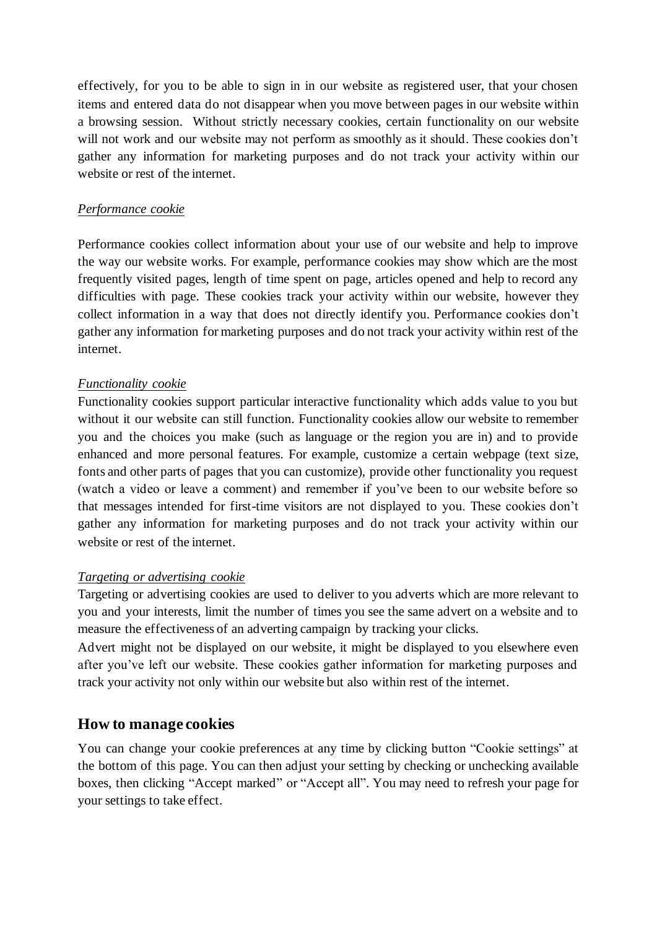effectively, for you to be able to sign in in our website as registered user, that your chosen items and entered data do not disappear when you move between pages in our website within a browsing session. Without strictly necessary cookies, certain functionality on our website will not work and our website may not perform as smoothly as it should. These cookies don't gather any information for marketing purposes and do not track your activity within our website or rest of the internet.

## *Performance cookie*

Performance cookies collect information about your use of our website and help to improve the way our website works. For example, performance cookies may show which are the most frequently visited pages, length of time spent on page, articles opened and help to record any difficulties with page. These cookies track your activity within our website, however they collect information in a way that does not directly identify you. Performance cookies don't gather any information for marketing purposes and do not track your activity within rest of the internet.

## *Functionality cookie*

Functionality cookies support particular interactive functionality which adds value to you but without it our website can still function. Functionality cookies allow our website to remember you and the choices you make (such as language or the region you are in) and to provide enhanced and more personal features. For example, customize a certain webpage (text size, fonts and other parts of pages that you can customize), provide other functionality you request (watch a video or leave a comment) and remember if you've been to our website before so that messages intended for first-time visitors are not displayed to you. These cookies don't gather any information for marketing purposes and do not track your activity within our website or rest of the internet.

## *Targeting or advertising cookie*

Targeting or advertising cookies are used to deliver to you adverts which are more relevant to you and your interests, limit the number of times you see the same advert on a website and to measure the effectiveness of an adverting campaign by tracking your clicks.

Advert might not be displayed on our website, it might be displayed to you elsewhere even after you've left our website. These cookies gather information for marketing purposes and track your activity not only within our website but also within rest of the internet.

## **How to manage cookies**

You can change your cookie preferences at any time by clicking button "Cookie settings" at the bottom of this page. You can then adjust your setting by checking or unchecking available boxes, then clicking "Accept marked" or "Accept all". You may need to refresh your page for your settings to take effect.